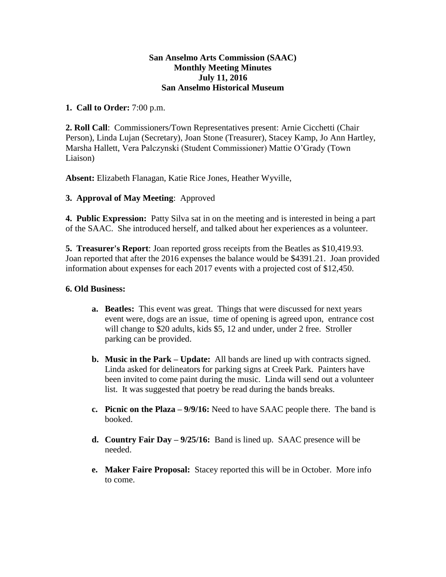## **San Anselmo Arts Commission (SAAC) Monthly Meeting Minutes July 11, 2016 San Anselmo Historical Museum**

## **1. Call to Order:** 7:00 p.m.

**2. Roll Call**: Commissioners/Town Representatives present: Arnie Cicchetti (Chair Person), Linda Lujan (Secretary), Joan Stone (Treasurer), Stacey Kamp, Jo Ann Hartley, Marsha Hallett, Vera Palczynski (Student Commissioner) Mattie O'Grady (Town Liaison)

**Absent:** Elizabeth Flanagan, Katie Rice Jones, Heather Wyville,

## **3. Approval of May Meeting**: Approved

**4. Public Expression:** Patty Silva sat in on the meeting and is interested in being a part of the SAAC. She introduced herself, and talked about her experiences as a volunteer.

**5. Treasurer's Report**: Joan reported gross receipts from the Beatles as \$10,419.93. Joan reported that after the 2016 expenses the balance would be \$4391.21. Joan provided information about expenses for each 2017 events with a projected cost of \$12,450.

## **6. Old Business:**

- **a. Beatles:** This event was great. Things that were discussed for next years event were, dogs are an issue, time of opening is agreed upon, entrance cost will change to \$20 adults, kids \$5, 12 and under, under 2 free. Stroller parking can be provided.
- **b. Music in the Park – Update:** All bands are lined up with contracts signed. Linda asked for delineators for parking signs at Creek Park. Painters have been invited to come paint during the music. Linda will send out a volunteer list. It was suggested that poetry be read during the bands breaks.
- **c. Picnic on the Plaza – 9/9/16:** Need to have SAAC people there. The band is booked.
- **d. Country Fair Day – 9/25/16:** Band is lined up. SAAC presence will be needed.
- **e. Maker Faire Proposal:** Stacey reported this will be in October. More info to come.